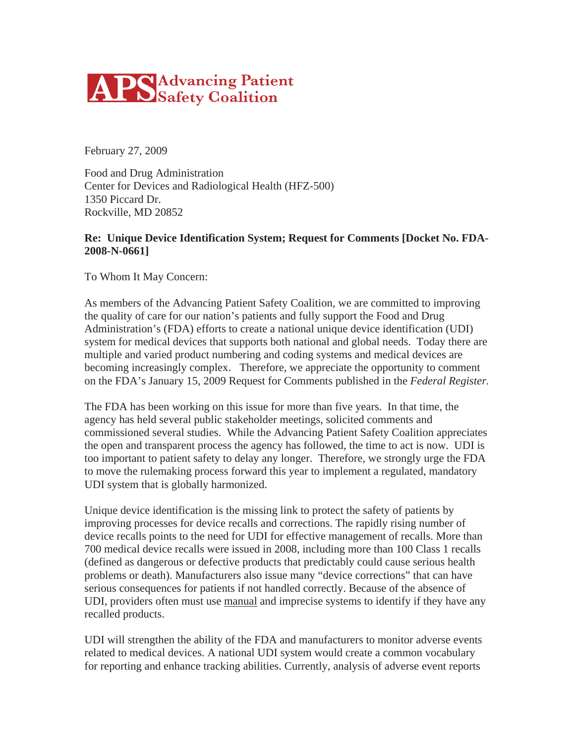

February 27, 2009

Food and Drug Administration Center for Devices and Radiological Health (HFZ-500) 1350 Piccard Dr. Rockville, MD 20852

#### **Re: Unique Device Identification System; Request for Comments [Docket No. FDA-2008-N-0661]**

To Whom It May Concern:

As members of the Advancing Patient Safety Coalition, we are committed to improving the quality of care for our nation's patients and fully support the Food and Drug Administration's (FDA) efforts to create a national unique device identification (UDI) system for medical devices that supports both national and global needs. Today there are multiple and varied product numbering and coding systems and medical devices are becoming increasingly complex. Therefore, we appreciate the opportunity to comment on the FDA's January 15, 2009 Request for Comments published in the *Federal Register.*

The FDA has been working on this issue for more than five years. In that time, the agency has held several public stakeholder meetings, solicited comments and commissioned several studies. While the Advancing Patient Safety Coalition appreciates the open and transparent process the agency has followed, the time to act is now. UDI is too important to patient safety to delay any longer. Therefore, we strongly urge the FDA to move the rulemaking process forward this year to implement a regulated, mandatory UDI system that is globally harmonized.

Unique device identification is the missing link to protect the safety of patients by improving processes for device recalls and corrections. The rapidly rising number of device recalls points to the need for UDI for effective management of recalls. More than 700 medical device recalls were issued in 2008, including more than 100 Class 1 recalls (defined as dangerous or defective products that predictably could cause serious health problems or death). Manufacturers also issue many "device corrections" that can have serious consequences for patients if not handled correctly. Because of the absence of UDI, providers often must use manual and imprecise systems to identify if they have any recalled products.

UDI will strengthen the ability of the FDA and manufacturers to monitor adverse events related to medical devices. A national UDI system would create a common vocabulary for reporting and enhance tracking abilities. Currently, analysis of adverse event reports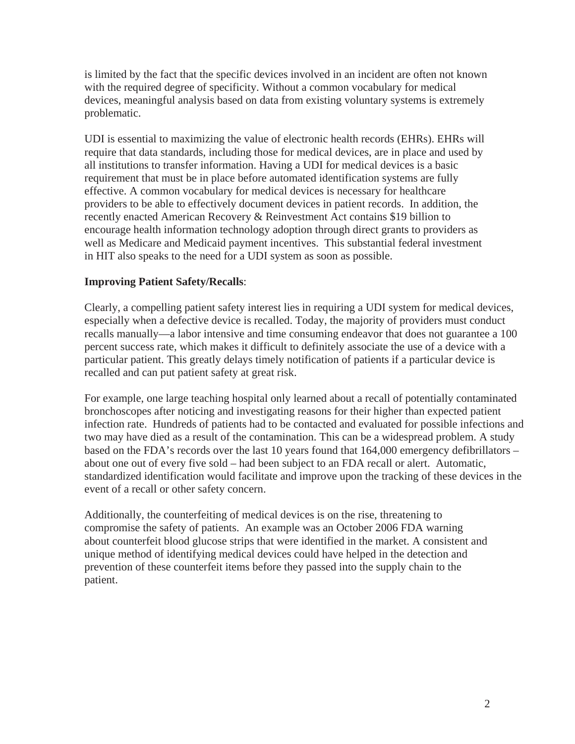is limited by the fact that the specific devices involved in an incident are often not known with the required degree of specificity. Without a common vocabulary for medical devices, meaningful analysis based on data from existing voluntary systems is extremely problematic.

UDI is essential to maximizing the value of electronic health records (EHRs). EHRs will require that data standards, including those for medical devices, are in place and used by all institutions to transfer information. Having a UDI for medical devices is a basic requirement that must be in place before automated identification systems are fully effective. A common vocabulary for medical devices is necessary for healthcare providers to be able to effectively document devices in patient records. In addition, the recently enacted American Recovery & Reinvestment Act contains \$19 billion to encourage health information technology adoption through direct grants to providers as well as Medicare and Medicaid payment incentives. This substantial federal investment in HIT also speaks to the need for a UDI system as soon as possible.

# **Improving Patient Safety/Recalls**:

Clearly, a compelling patient safety interest lies in requiring a UDI system for medical devices, especially when a defective device is recalled. Today, the majority of providers must conduct recalls manually—a labor intensive and time consuming endeavor that does not guarantee a 100 percent success rate, which makes it difficult to definitely associate the use of a device with a particular patient. This greatly delays timely notification of patients if a particular device is recalled and can put patient safety at great risk.

For example, one large teaching hospital only learned about a recall of potentially contaminated bronchoscopes after noticing and investigating reasons for their higher than expected patient infection rate. Hundreds of patients had to be contacted and evaluated for possible infections and two may have died as a result of the contamination. This can be a widespread problem. A study based on the FDA's records over the last 10 years found that 164,000 emergency defibrillators – about one out of every five sold – had been subject to an FDA recall or alert. Automatic, standardized identification would facilitate and improve upon the tracking of these devices in the event of a recall or other safety concern.

Additionally, the counterfeiting of medical devices is on the rise, threatening to compromise the safety of patients. An example was an October 2006 FDA warning about counterfeit blood glucose strips that were identified in the market. A consistent and unique method of identifying medical devices could have helped in the detection and prevention of these counterfeit items before they passed into the supply chain to the patient.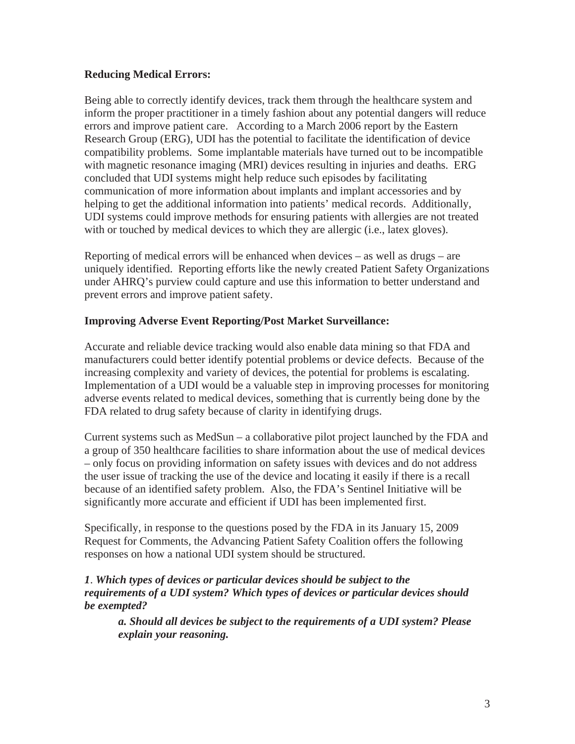## **Reducing Medical Errors:**

Being able to correctly identify devices, track them through the healthcare system and inform the proper practitioner in a timely fashion about any potential dangers will reduce errors and improve patient care. According to a March 2006 report by the Eastern Research Group (ERG), UDI has the potential to facilitate the identification of device compatibility problems. Some implantable materials have turned out to be incompatible with magnetic resonance imaging (MRI) devices resulting in injuries and deaths. ERG concluded that UDI systems might help reduce such episodes by facilitating communication of more information about implants and implant accessories and by helping to get the additional information into patients' medical records. Additionally, UDI systems could improve methods for ensuring patients with allergies are not treated with or touched by medical devices to which they are allergic (i.e., latex gloves).

Reporting of medical errors will be enhanced when devices – as well as drugs – are uniquely identified. Reporting efforts like the newly created Patient Safety Organizations under AHRQ's purview could capture and use this information to better understand and prevent errors and improve patient safety.

### **Improving Adverse Event Reporting/Post Market Surveillance:**

Accurate and reliable device tracking would also enable data mining so that FDA and manufacturers could better identify potential problems or device defects. Because of the increasing complexity and variety of devices, the potential for problems is escalating. Implementation of a UDI would be a valuable step in improving processes for monitoring adverse events related to medical devices, something that is currently being done by the FDA related to drug safety because of clarity in identifying drugs.

Current systems such as MedSun – a collaborative pilot project launched by the FDA and a group of 350 healthcare facilities to share information about the use of medical devices – only focus on providing information on safety issues with devices and do not address the user issue of tracking the use of the device and locating it easily if there is a recall because of an identified safety problem. Also, the FDA's Sentinel Initiative will be significantly more accurate and efficient if UDI has been implemented first.

Specifically, in response to the questions posed by the FDA in its January 15, 2009 Request for Comments*,* the Advancing Patient Safety Coalition offers the following responses on how a national UDI system should be structured.

## *1*. *Which types of devices or particular devices should be subject to the requirements of a UDI system? Which types of devices or particular devices should be exempted?*

*a. Should all devices be subject to the requirements of a UDI system? Please explain your reasoning.*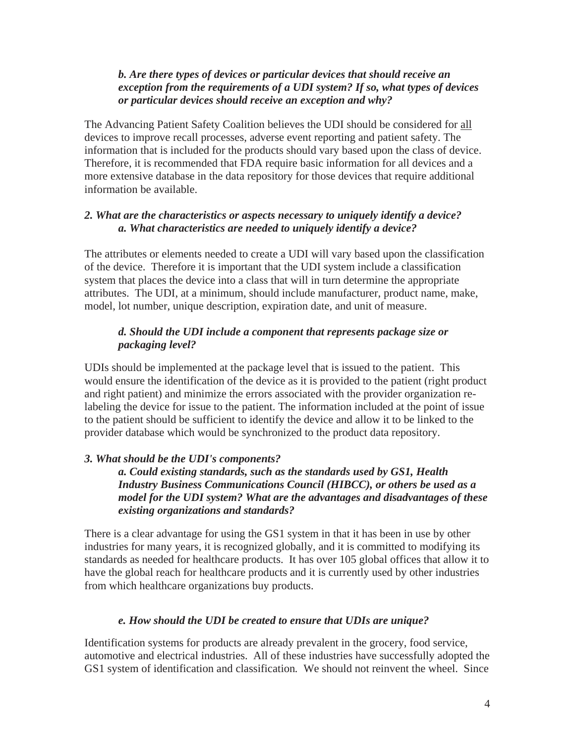## *b. Are there types of devices or particular devices that should receive an exception from the requirements of a UDI system? If so, what types of devices or particular devices should receive an exception and why?*

The Advancing Patient Safety Coalition believes the UDI should be considered for all devices to improve recall processes, adverse event reporting and patient safety. The information that is included for the products should vary based upon the class of device. Therefore, it is recommended that FDA require basic information for all devices and a more extensive database in the data repository for those devices that require additional information be available.

## *2. What are the characteristics or aspects necessary to uniquely identify a device? a. What characteristics are needed to uniquely identify a device?*

The attributes or elements needed to create a UDI will vary based upon the classification of the device. Therefore it is important that the UDI system include a classification system that places the device into a class that will in turn determine the appropriate attributes. The UDI, at a minimum, should include manufacturer, product name, make, model, lot number, unique description, expiration date, and unit of measure.

# *d. Should the UDI include a component that represents package size or packaging level?*

UDIs should be implemented at the package level that is issued to the patient. This would ensure the identification of the device as it is provided to the patient (right product and right patient) and minimize the errors associated with the provider organization relabeling the device for issue to the patient. The information included at the point of issue to the patient should be sufficient to identify the device and allow it to be linked to the provider database which would be synchronized to the product data repository.

# *3. What should be the UDI's components?*

*a. Could existing standards, such as the standards used by GS1, Health Industry Business Communications Council (HIBCC), or others be used as a model for the UDI system? What are the advantages and disadvantages of these existing organizations and standards?* 

There is a clear advantage for using the GS1 system in that it has been in use by other industries for many years, it is recognized globally, and it is committed to modifying its standards as needed for healthcare products. It has over 105 global offices that allow it to have the global reach for healthcare products and it is currently used by other industries from which healthcare organizations buy products.

# *e. How should the UDI be created to ensure that UDIs are unique?*

Identification systems for products are already prevalent in the grocery, food service, automotive and electrical industries. All of these industries have successfully adopted the GS1 system of identification and classification*.* We should not reinvent the wheel. Since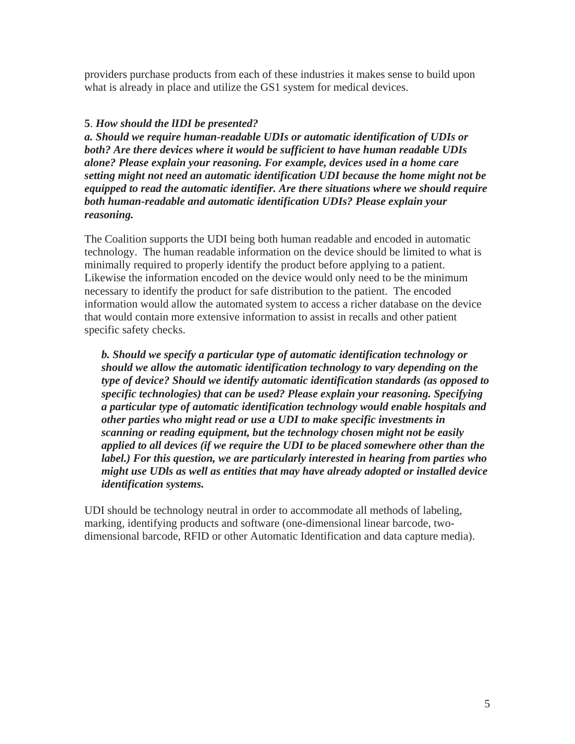providers purchase products from each of these industries it makes sense to build upon what is already in place and utilize the GS1 system for medical devices.

### **5**. *How should the lIDI be presented?*

*a. Should we require human-readable UDIs or automatic identification of UDIs or both? Are there devices where it would be sufficient to have human readable UDIs alone? Please explain your reasoning. For example, devices used in a home care setting might not need an automatic identification UDI because the home might not be equipped to read the automatic identifier. Are there situations where we should require both human-readable and automatic identification UDIs? Please explain your reasoning.*

The Coalition supports the UDI being both human readable and encoded in automatic technology. The human readable information on the device should be limited to what is minimally required to properly identify the product before applying to a patient. Likewise the information encoded on the device would only need to be the minimum necessary to identify the product for safe distribution to the patient. The encoded information would allow the automated system to access a richer database on the device that would contain more extensive information to assist in recalls and other patient specific safety checks.

*b. Should we specify a particular type of automatic identification technology or should we allow the automatic identification technology to vary depending on the type of device? Should we identify automatic identification standards (as opposed to specific technologies) that can be used? Please explain your reasoning. Specifying a particular type of automatic identification technology would enable hospitals and other parties who might read or use a UDI to make specific investments in scanning or reading equipment, but the technology chosen might not be easily applied to all devices (if we require the UDI to be placed somewhere other than the label.) For this question, we are particularly interested in hearing from parties who might use UDls as well as entities that may have already adopted or installed device identification systems.* 

UDI should be technology neutral in order to accommodate all methods of labeling, marking, identifying products and software (one-dimensional linear barcode, twodimensional barcode, RFID or other Automatic Identification and data capture media).